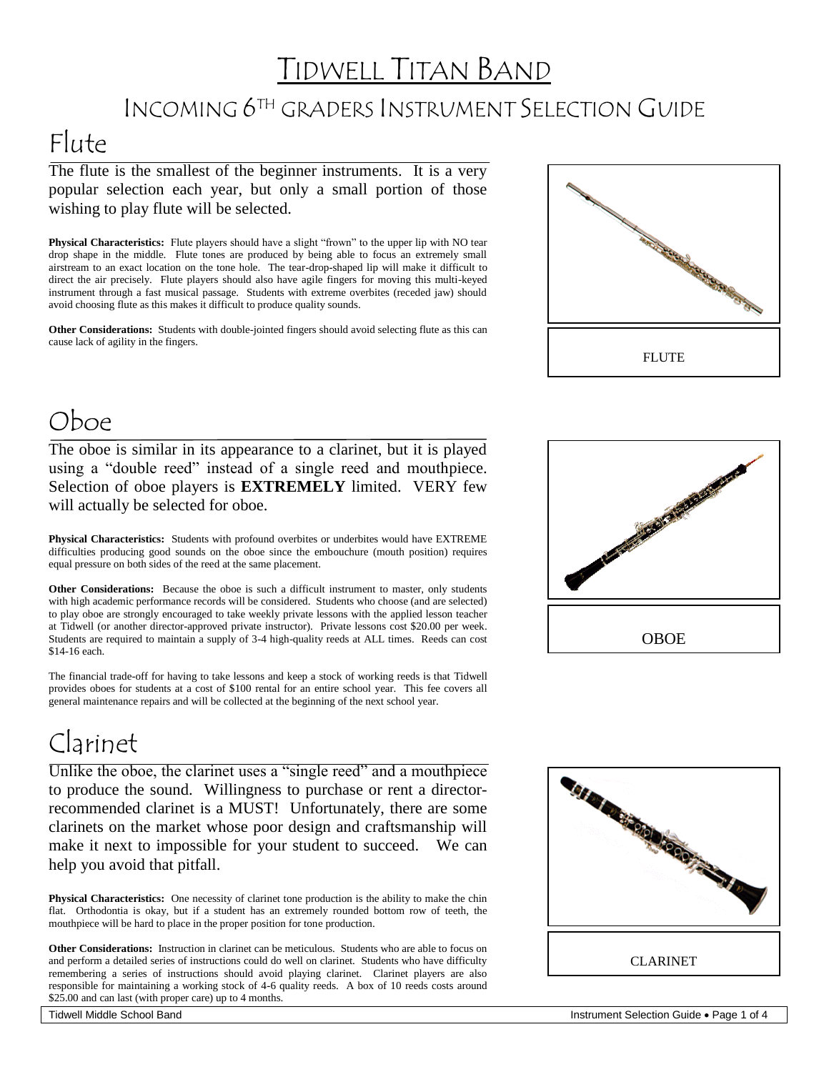## TIDWELL TITAN BAND

#### INCOMING 6TH GRADERS INSTRUMENT SELECTION GUIDE

### Flute

The flute is the smallest of the beginner instruments. It is a very popular selection each year, but only a small portion of those wishing to play flute will be selected.

**Physical Characteristics:** Flute players should have a slight "frown" to the upper lip with NO tear drop shape in the middle. Flute tones are produced by being able to focus an extremely small airstream to an exact location on the tone hole. The tear-drop-shaped lip will make it difficult to direct the air precisely. Flute players should also have agile fingers for moving this multi-keyed instrument through a fast musical passage. Students with extreme overbites (receded jaw) should avoid choosing flute as this makes it difficult to produce quality sounds.

**Other Considerations:** Students with double-jointed fingers should avoid selecting flute as this can cause lack of agility in the fingers.



#### Oboe

The oboe is similar in its appearance to a clarinet, but it is played using a "double reed" instead of a single reed and mouthpiece. Selection of oboe players is **EXTREMELY** limited. VERY few will actually be selected for oboe.

**Physical Characteristics:** Students with profound overbites or underbites would have EXTREME difficulties producing good sounds on the oboe since the embouchure (mouth position) requires equal pressure on both sides of the reed at the same placement.

**Other Considerations:** Because the oboe is such a difficult instrument to master, only students with high academic performance records will be considered. Students who choose (and are selected) to play oboe are strongly encouraged to take weekly private lessons with the applied lesson teacher at Tidwell (or another director-approved private instructor). Private lessons cost \$20.00 per week. Students are required to maintain a supply of 3-4 high-quality reeds at ALL times. Reeds can cost \$14-16 each.

The financial trade-off for having to take lessons and keep a stock of working reeds is that Tidwell provides oboes for students at a cost of \$100 rental for an entire school year. This fee covers all general maintenance repairs and will be collected at the beginning of the next school year.

## Clarinet

Unlike the oboe, the clarinet uses a "single reed" and a mouthpiece to produce the sound. Willingness to purchase or rent a directorrecommended clarinet is a MUST! Unfortunately, there are some clarinets on the market whose poor design and craftsmanship will make it next to impossible for your student to succeed. We can help you avoid that pitfall.

**Physical Characteristics:** One necessity of clarinet tone production is the ability to make the chin flat. Orthodontia is okay, but if a student has an extremely rounded bottom row of teeth, the mouthpiece will be hard to place in the proper position for tone production.

**Other Considerations:** Instruction in clarinet can be meticulous. Students who are able to focus on and perform a detailed series of instructions could do well on clarinet. Students who have difficulty remembering a series of instructions should avoid playing clarinet. Clarinet players are also responsible for maintaining a working stock of 4-6 quality reeds. A box of 10 reeds costs around \$25.00 and can last (with proper care) up to 4 months.



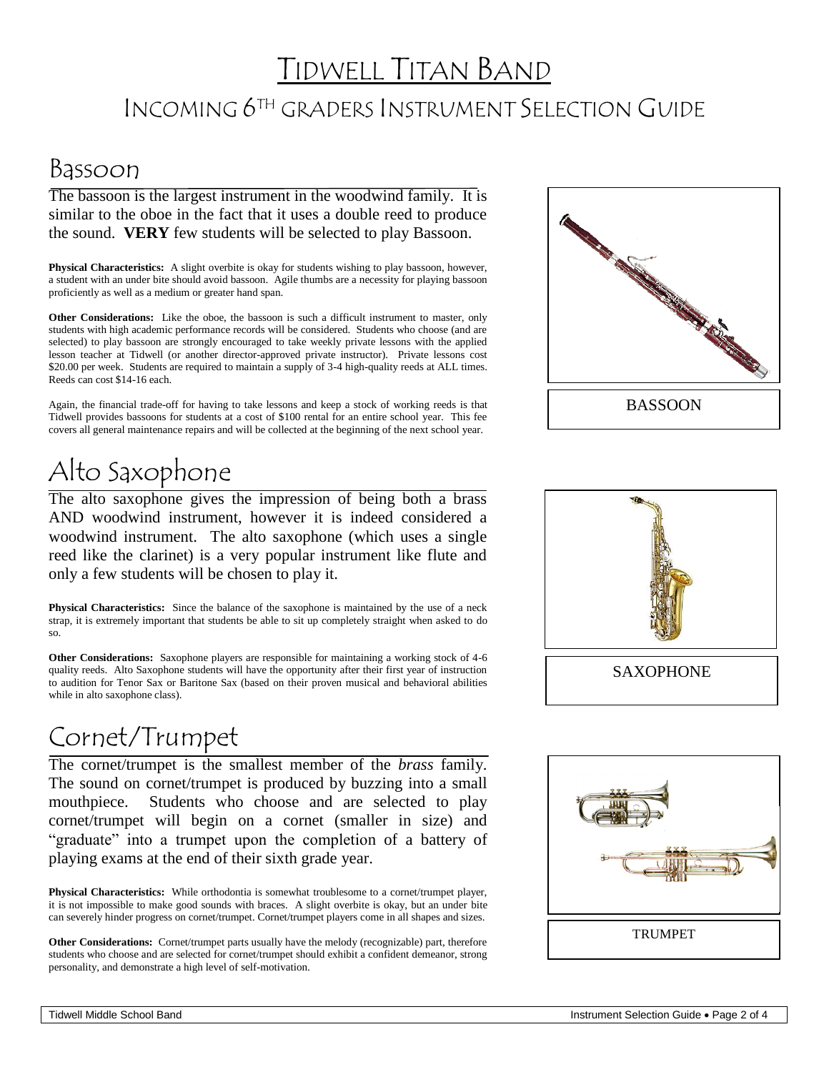# TIDWELL TITAN BAND INCOMING 6TH GRADERS INSTRUMENT SELECTION GUIDE

#### Bassoon

The bassoon is the largest instrument in the woodwind family. It is similar to the oboe in the fact that it uses a double reed to produce the sound. **VERY** few students will be selected to play Bassoon.

**Physical Characteristics:** A slight overbite is okay for students wishing to play bassoon, however, a student with an under bite should avoid bassoon. Agile thumbs are a necessity for playing bassoon proficiently as well as a medium or greater hand span.

**Other Considerations:** Like the oboe, the bassoon is such a difficult instrument to master, only students with high academic performance records will be considered. Students who choose (and are selected) to play bassoon are strongly encouraged to take weekly private lessons with the applied lesson teacher at Tidwell (or another director-approved private instructor). Private lessons cost \$20.00 per week. Students are required to maintain a supply of 3-4 high-quality reeds at ALL times. Reeds can cost \$14-16 each.

Again, the financial trade-off for having to take lessons and keep a stock of working reeds is that Tidwell provides bassoons for students at a cost of \$100 rental for an entire school year. This fee covers all general maintenance repairs and will be collected at the beginning of the next school year.

## Alto Saxophone

The alto saxophone gives the impression of being both a brass AND woodwind instrument, however it is indeed considered a woodwind instrument. The alto saxophone (which uses a single reed like the clarinet) is a very popular instrument like flute and only a few students will be chosen to play it.

**Physical Characteristics:** Since the balance of the saxophone is maintained by the use of a neck strap, it is extremely important that students be able to sit up completely straight when asked to do so.

**Other Considerations:** Saxophone players are responsible for maintaining a working stock of 4-6 quality reeds. Alto Saxophone students will have the opportunity after their first year of instruction to audition for Tenor Sax or Baritone Sax (based on their proven musical and behavioral abilities while in alto saxophone class).

#### Cornet/Trumpet

The cornet/trumpet is the smallest member of the *brass* family. The sound on cornet/trumpet is produced by buzzing into a small mouthpiece. Students who choose and are selected to play cornet/trumpet will begin on a cornet (smaller in size) and "graduate" into a trumpet upon the completion of a battery of playing exams at the end of their sixth grade year.

**Physical Characteristics:** While orthodontia is somewhat troublesome to a cornet/trumpet player, it is not impossible to make good sounds with braces. A slight overbite is okay, but an under bite can severely hinder progress on cornet/trumpet. Cornet/trumpet players come in all shapes and sizes.

**Other Considerations:** Cornet/trumpet parts usually have the melody (recognizable) part, therefore students who choose and are selected for cornet/trumpet should exhibit a confident demeanor, strong personality, and demonstrate a high level of self-motivation.





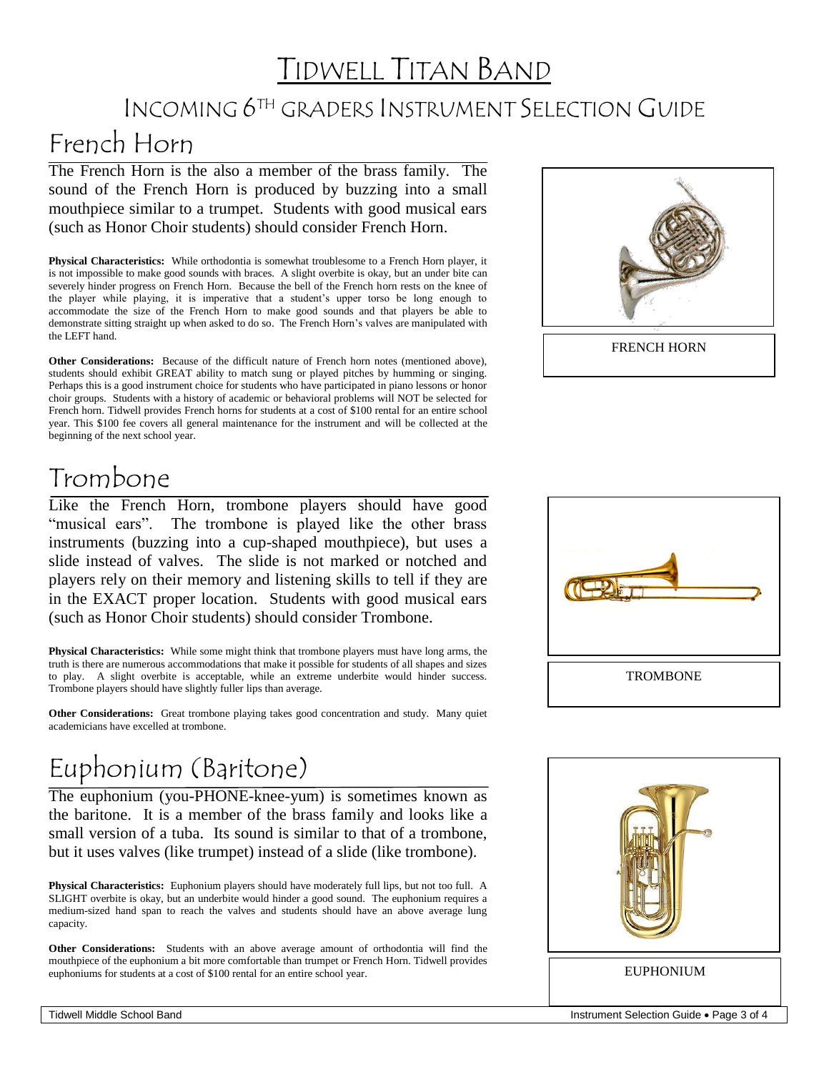## TIDWELL TITAN BAND

### INCOMING 6TH GRADERS INSTRUMENT SELECTION GUIDE

#### French Horn

The French Horn is the also a member of the brass family. The sound of the French Horn is produced by buzzing into a small mouthpiece similar to a trumpet. Students with good musical ears (such as Honor Choir students) should consider French Horn.

**Physical Characteristics:** While orthodontia is somewhat troublesome to a French Horn player, it is not impossible to make good sounds with braces. A slight overbite is okay, but an under bite can severely hinder progress on French Horn. Because the bell of the French horn rests on the knee of the player while playing, it is imperative that a student's upper torso be long enough to accommodate the size of the French Horn to make good sounds and that players be able to demonstrate sitting straight up when asked to do so. The French Horn's valves are manipulated with the LEFT hand.

**Other Considerations:** Because of the difficult nature of French horn notes (mentioned above), students should exhibit GREAT ability to match sung or played pitches by humming or singing. Perhaps this is a good instrument choice for students who have participated in piano lessons or honor choir groups. Students with a history of academic or behavioral problems will NOT be selected for French horn. Tidwell provides French horns for students at a cost of \$100 rental for an entire school year. This \$100 fee covers all general maintenance for the instrument and will be collected at the beginning of the next school year.



#### Trombone

Like the French Horn, trombone players should have good "musical ears". The trombone is played like the other brass instruments (buzzing into a cup-shaped mouthpiece), but uses a slide instead of valves. The slide is not marked or notched and players rely on their memory and listening skills to tell if they are in the EXACT proper location. Students with good musical ears (such as Honor Choir students) should consider Trombone.

**Physical Characteristics:** While some might think that trombone players must have long arms, the truth is there are numerous accommodations that make it possible for students of all shapes and sizes to play. A slight overbite is acceptable, while an extreme underbite would hinder success. Trombone players should have slightly fuller lips than average.

**Other Considerations:** Great trombone playing takes good concentration and study. Many quiet academicians have excelled at trombone.

## Euphonium (Baritone)

The euphonium (you-PHONE-knee-yum) is sometimes known as the baritone. It is a member of the brass family and looks like a small version of a tuba. Its sound is similar to that of a trombone, but it uses valves (like trumpet) instead of a slide (like trombone).

**Physical Characteristics:** Euphonium players should have moderately full lips, but not too full. A SLIGHT overbite is okay, but an underbite would hinder a good sound. The euphonium requires a medium-sized hand span to reach the valves and students should have an above average lung capacity.

**Other Considerations:** Students with an above average amount of orthodontia will find the mouthpiece of the euphonium a bit more comfortable than trumpet or French Horn. Tidwell provides euphoniums for students at a cost of \$100 rental for an entire school year.